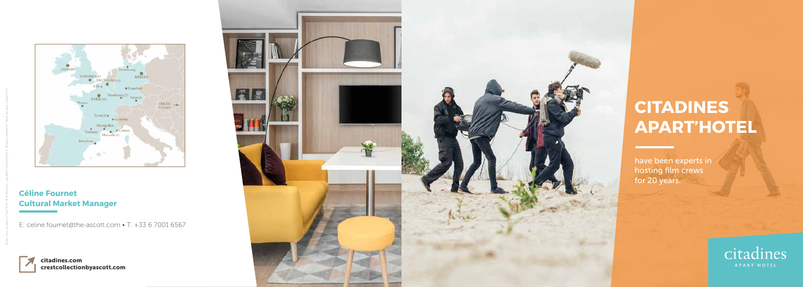# **CITADINES APART'HOTEL**

E: celine.fournet@the-ascott.com • T: +33 6 7001 6567

Design: Anne Jourdain • Cover Photo: © Shutterstock - guruXOX • Dwelling Photos: © Fabrice Rambert & Pascal Reynaud - Citadines SA



## **Céline Fournet Cultural Market Manager**

have been experts in hosting film crews for 20 years.